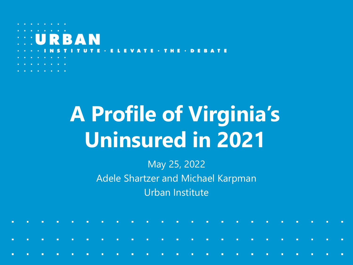# **A Profile of Virginia's Uninsured in 2021**

May 25, 2022 Adele Shartzer and Michael Karpman Urban Institute

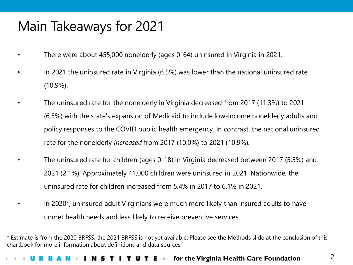## Main Takeaways for 2021

- There were about 455,000 nonelderly (ages 0-64) uninsured in Virginia in 2021.
- In 2021 the uninsured rate in Virginia (6.5%) was lower than the national uninsured rate (10.9%).
- The uninsured rate for the nonelderly in Virginia decreased from 2017 (11.3%) to 2021 (6.5%) with the state's expansion of Medicaid to include low-income nonelderly adults and policy responses to the COVID public health emergency. In contrast, the national uninsured rate for the nonelderly *increased* from 2017 (10.0%) to 2021 (10.9%).
	- The uninsured rate for children (ages 0-18) in Virginia decreased between 2017 (5.5%) and 2021 (2.1%). Approximately 41,000 children were uninsured in 2021. Nationwide, the uninsured rate for children increased from 5.4% in 2017 to 6.1% in 2021.
- In 2020\*, uninsured adult Virginians were much more likely than insured adults to have unmet health needs and less likely to receive preventive services.

\* Estimate is from the 2020 BRFSS; the 2021 BRFSS is not yet available. Please see the Methods slide at the conclusion of this chartbook for more information about definitions and data sources.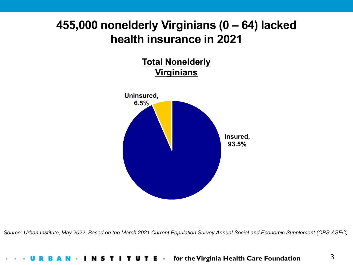### **455,000 nonelderly Virginians (0 – 64) lacked health insurance in 2021**

**Total Nonelderly Virginians**



*Source: Urban Institute, May 2022. Based on the March 2021 Current Population Survey Annual Social and Economic Supplement (CPS-ASEC).*

### **for the Virginia Health Care Foundation**T I T U T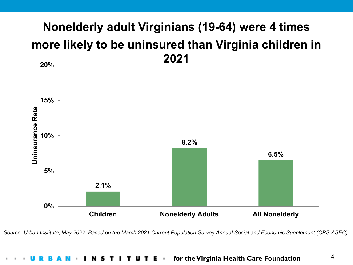## **Nonelderly adult Virginians (19-64) were 4 times more likely to be uninsured than Virginia children in 2021**



*Source: Urban Institute, May 2022. Based on the March 2021 Current Population Survey Annual Social and Economic Supplement (CPS-ASEC).*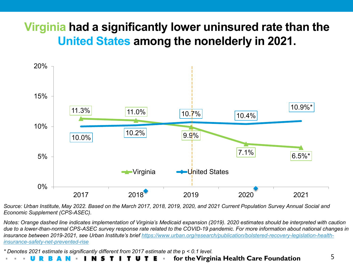## **Virginia had a significantly lower uninsured rate than the United States among the nonelderly in 2021.**



*Source: Urban Institute, May 2022. Based on the March 2017, 2018, 2019, 2020, and 2021 Current Population Survey Annual Social and Economic Supplement (CPS-ASEC).*

*Notes: Orange dashed line indicates implementation of Virginia's Medicaid expansion (2019). 2020 estimates should be interpreted with caution due to a lower-than-normal CPS-ASEC survey response rate related to the COVID-19 pandemic. For more information about national changes in [insurance between 2019-2021, see Urban Institute's brief https://www.urban.org/research/publication/bolstered-recovery-legislation-health](https://www.urban.org/research/publication/bolstered-recovery-legislation-health-insurance-safety-net-prevented-rise)insurance-safety-net-prevented-rise*

*\* Denotes 2021 estimate is significantly different from 2017 estimate at the* p *< 0.1 level.*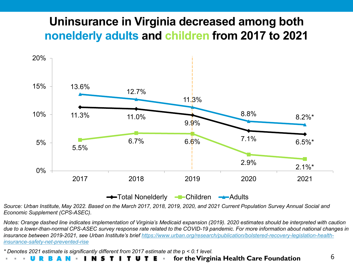### **Uninsurance in Virginia decreased among both nonelderly adults and children from 2017 to 2021**



*Source: Urban Institute, May 2022. Based on the March 2017, 2018, 2019, 2020, and 2021 Current Population Survey Annual Social and Economic Supplement (CPS-ASEC).*

*Notes: Orange dashed line indicates implementation of Virginia's Medicaid expansion (2019). 2020 estimates should be interpreted with caution due to a lower-than-normal CPS-ASEC survey response rate related to the COVID-19 pandemic. For more information about national changes in [insurance between 2019-2021, see Urban Institute's brief https://www.urban.org/research/publication/bolstered-recovery-legislation-health](https://www.urban.org/research/publication/bolstered-recovery-legislation-health-insurance-safety-net-prevented-rise)insurance-safety-net-prevented-rise*

*\* Denotes 2021 estimate is significantly different from 2017 estimate at the* p *< 0.1 level.*

### **for the Virginia Health Care Foundation** I N S TUTE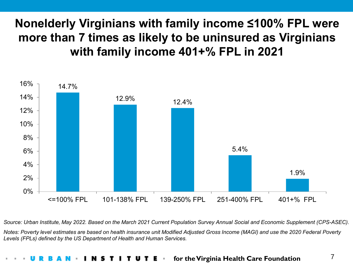## **Nonelderly Virginians with family income ≤100% FPL were more than 7 times as likely to be uninsured as Virginians with family income 401+% FPL in 2021**



*Source: Urban Institute, May 2022. Based on the March 2021 Current Population Survey Annual Social and Economic Supplement (CPS-ASEC).*

*Notes: Poverty level estimates are based on health insurance unit Modified Adjusted Gross Income (MAGI) and use the 2020 Federal Poverty Levels (FPLs) defined by the US Department of Health and Human Services.*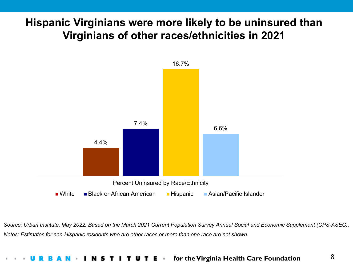### **Hispanic Virginians were more likely to be uninsured than Virginians of other races/ethnicities in 2021**



*Source: Urban Institute, May 2022. Based on the March 2021 Current Population Survey Annual Social and Economic Supplement (CPS-ASEC). Notes: Estimates for non-Hispanic residents who are other races or more than one race are not shown.*

### **for the Virginia Health Care Foundation** T I T U T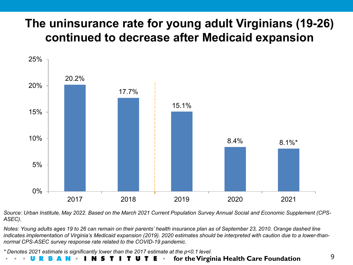## **The uninsurance rate for young adult Virginians (19-26) continued to decrease after Medicaid expansion**



*Source: Urban Institute, May 2022. Based on the March 2021 Current Population Survey Annual Social and Economic Supplement (CPS-ASEC).*

*Notes: Young adults ages 19 to 26 can remain on their parents' health insurance plan as of September 23, 2010. Orange dashed line indicates implementation of Virginia's Medicaid expansion (2019). 2020 estimates should be interpreted with caution due to a lower-thannormal CPS-ASEC survey response rate related to the COVID-19 pandemic.*

*\* Denotes 2021 estimate is significantly lower than the 2017 estimate at the p<0.1 level.*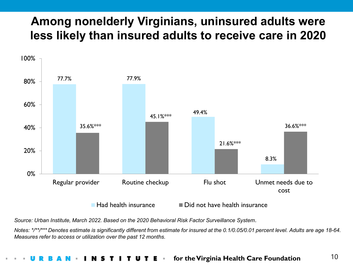## **Among nonelderly Virginians, uninsured adults were less likely than insured adults to receive care in 2020**



*Source: Urban Institute, March 2022. Based on the 2020 Behavioral Risk Factor Surveillance System.*

*Notes: \*/\*\*/\*\*\* Denotes estimate is significantly different from estimate for insured at the 0.1/0.05/0.01 percent level. Adults are age 18-64. Measures refer to access or utilization over the past 12 months.*